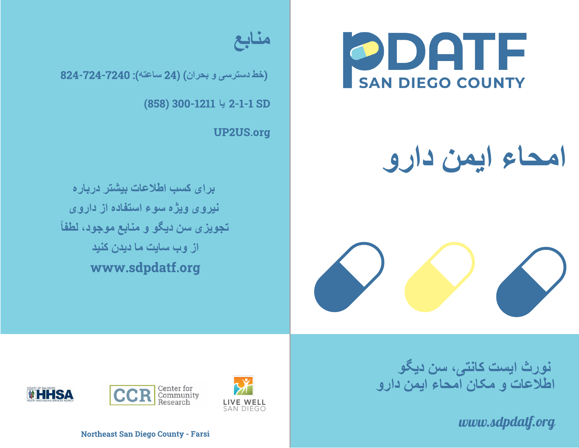

## **امحاء ایمن دارو**





(**خط دسترسی و بحران**) (24 **ساعتھ**): 824-724-7240

(858) 300-1211 2-1-1 SD **یا**

UP2US.org

**برای کسب اطلاعات بیشتر درباره نیروی ویژه سوء استفاده از داروی تجویزی سن دیگو و منابع موجود، لطفاً از وب سایت ما دیدن کنید** www.sdpdatf.org

> **نورث ایست کانتی، سن دیگو اطلاعات <sup>و</sup> مکان امحاء ایمن دارو**

> > *www.sdpdatf.org*







Northeast San Diego County - Farsi